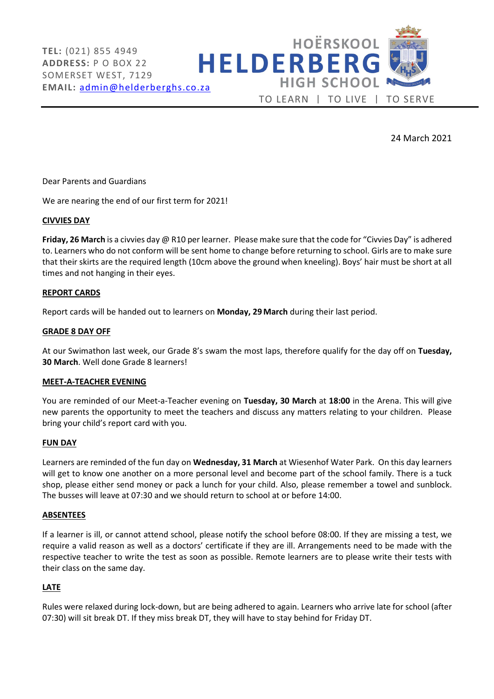

24 March 2021

Dear Parents and Guardians

We are nearing the end of our first term for 2021!

### CIVVIES DAY

Friday, 26 March is a civvies day @ R10 per learner. Please make sure that the code for "Civvies Day" is adhered to. Learners who do not conform will be sent home to change before returning to school. Girls are to make sure that their skirts are the required length (10cm above the ground when kneeling). Boys' hair must be short at all times and not hanging in their eyes.

### REPORT CARDS

Report cards will be handed out to learners on Monday, 29 March during their last period.

#### GRADE 8 DAY OFF

At our Swimathon last week, our Grade 8's swam the most laps, therefore qualify for the day off on Tuesday, 30 March. Well done Grade 8 learners!

#### MEET-A-TEACHER EVENING

You are reminded of our Meet-a-Teacher evening on Tuesday, 30 March at 18:00 in the Arena. This will give new parents the opportunity to meet the teachers and discuss any matters relating to your children. Please bring your child's report card with you.

#### FUN DAY

Learners are reminded of the fun day on Wednesday, 31 March at Wiesenhof Water Park. On this day learners will get to know one another on a more personal level and become part of the school family. There is a tuck shop, please either send money or pack a lunch for your child. Also, please remember a towel and sunblock. The busses will leave at 07:30 and we should return to school at or before 14:00.

## ABSENTEES

If a learner is ill, or cannot attend school, please notify the school before 08:00. If they are missing a test, we require a valid reason as well as a doctors' certificate if they are ill. Arrangements need to be made with the respective teacher to write the test as soon as possible. Remote learners are to please write their tests with their class on the same day.

## LATE

Rules were relaxed during lock-down, but are being adhered to again. Learners who arrive late for school (after 07:30) will sit break DT. If they miss break DT, they will have to stay behind for Friday DT.